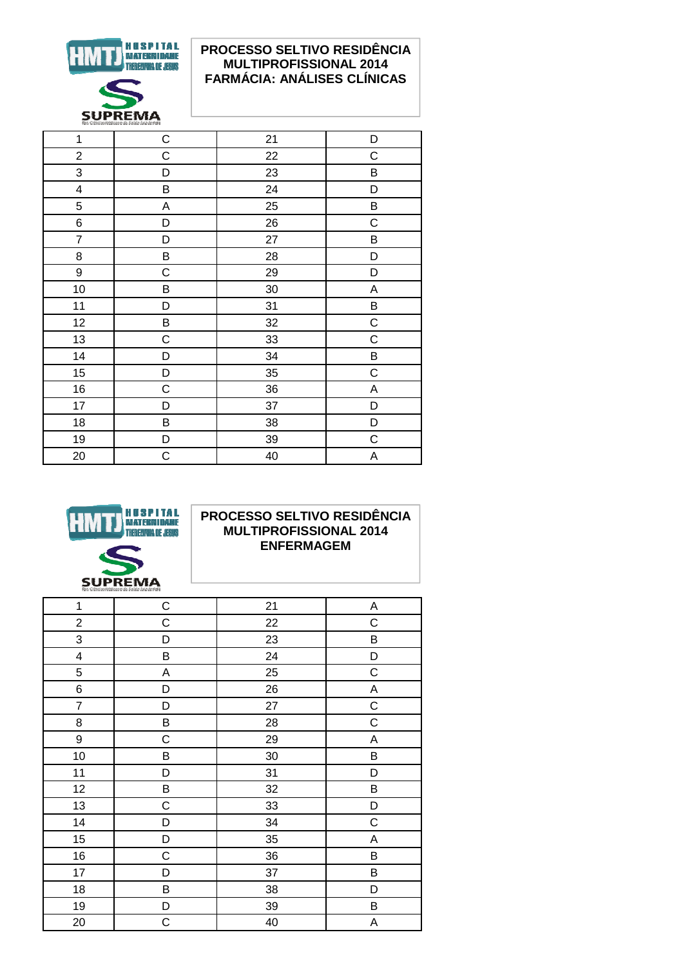

## PROCESSO SELTIVO RESIDÊNCIA **MULTIPROFISSIONAL 2014 FARMÁCIA: ANÁLISES CLÍNICAS**

| $\mathbf 1$             | $\mathsf C$ | 21 | D           |
|-------------------------|-------------|----|-------------|
| $\overline{2}$          | C           | 22 | $\mathsf C$ |
| 3                       | D           | 23 | Β           |
| $\overline{\mathbf{4}}$ | B           | 24 | D           |
| 5                       | A           | 25 | B           |
| 6                       | D           | 26 | $\mathsf C$ |
| $\overline{7}$          | D           | 27 | B           |
| 8                       | B           | 28 | D           |
| 9                       | C           | 29 | D           |
| 10                      | B           | 30 | A           |
| 11                      | D           | 31 | $\sf B$     |
| 12                      | B           | 32 | $\mathsf C$ |
| 13                      | $\mathsf C$ | 33 | $\mathsf C$ |
| 14                      | D           | 34 | Β           |
| 15                      | D           | 35 | $\mathbf C$ |
| 16                      | $\mathsf C$ | 36 | A           |
| 17                      | D           | 37 | D           |
| 18                      | B           | 38 | D           |
| 19                      | D           | 39 | $\mathsf C$ |
| 20                      | $\mathsf C$ | 40 | Α           |
|                         |             |    |             |



#### PROCESSO SELTIVO RESIDÊNCIA **MULTIPROFISSIONAL 2014 ENFERMAGEM**

| $\mathbf 1$<br>$\mathsf C$<br>21<br>A<br>$\overline{\mathbf{c}}$<br>C<br>22<br>$\mathsf C$<br>3<br>D<br>23<br>B<br>4<br>B<br>24<br>D<br>5<br>25<br>$\mathsf C$<br>A<br>6<br>26<br>A<br>D<br>$\mathsf C$<br>$\overline{7}$<br>27<br>D<br>$\mathsf C$<br>8<br>B<br>28<br>$\boldsymbol{9}$<br>$\mathsf C$<br>29<br>A<br>10<br>30<br>B<br>B<br>11<br>31<br>D<br>D<br>12<br>B<br>32<br>B |  |
|-------------------------------------------------------------------------------------------------------------------------------------------------------------------------------------------------------------------------------------------------------------------------------------------------------------------------------------------------------------------------------------|--|
|                                                                                                                                                                                                                                                                                                                                                                                     |  |
|                                                                                                                                                                                                                                                                                                                                                                                     |  |
|                                                                                                                                                                                                                                                                                                                                                                                     |  |
|                                                                                                                                                                                                                                                                                                                                                                                     |  |
|                                                                                                                                                                                                                                                                                                                                                                                     |  |
|                                                                                                                                                                                                                                                                                                                                                                                     |  |
|                                                                                                                                                                                                                                                                                                                                                                                     |  |
|                                                                                                                                                                                                                                                                                                                                                                                     |  |
|                                                                                                                                                                                                                                                                                                                                                                                     |  |
|                                                                                                                                                                                                                                                                                                                                                                                     |  |
|                                                                                                                                                                                                                                                                                                                                                                                     |  |
|                                                                                                                                                                                                                                                                                                                                                                                     |  |
| 13<br>$\mathsf C$<br>33<br>D                                                                                                                                                                                                                                                                                                                                                        |  |
| $\mathsf C$<br>14<br>D<br>34                                                                                                                                                                                                                                                                                                                                                        |  |
| 15<br>D<br>35<br>A                                                                                                                                                                                                                                                                                                                                                                  |  |
| 16<br>36<br>$\mathsf C$<br>$\sf B$                                                                                                                                                                                                                                                                                                                                                  |  |
| $17$<br>37<br>B<br>D                                                                                                                                                                                                                                                                                                                                                                |  |
| B<br>18<br>38<br>D                                                                                                                                                                                                                                                                                                                                                                  |  |
| 19<br>D<br>39<br>B                                                                                                                                                                                                                                                                                                                                                                  |  |
| $\mathsf C$<br>20<br>40<br>Α                                                                                                                                                                                                                                                                                                                                                        |  |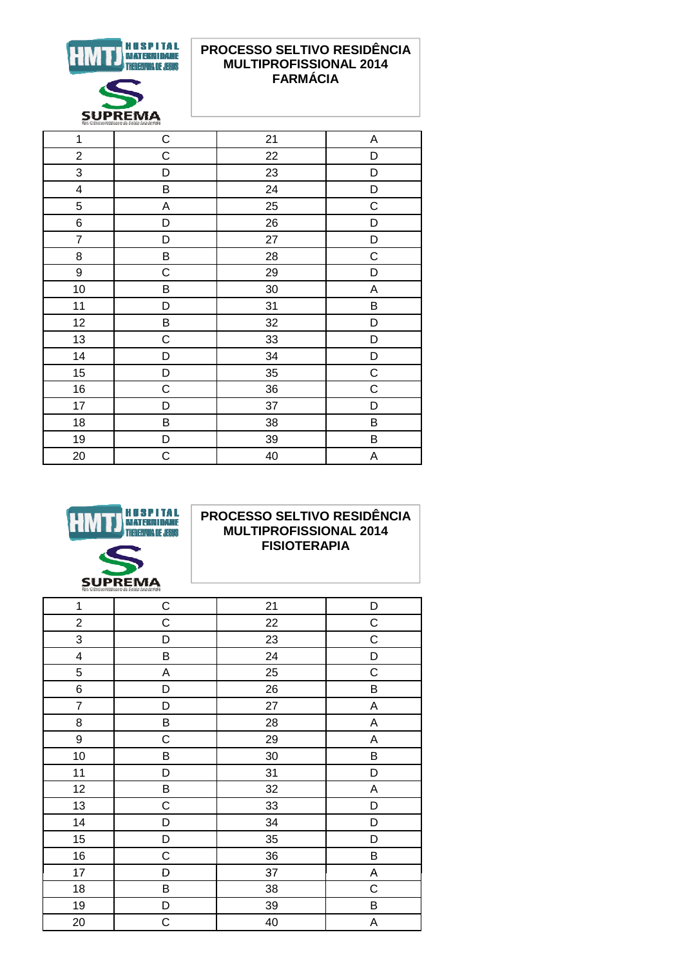

### PROCESSO SELTIVO RESIDÊNCIA **MULTIPROFISSIONAL 2014 FARMÁCIA**

| fac, Cièncias Médicas e da Saude Juiz de Fera |             |    |             |
|-----------------------------------------------|-------------|----|-------------|
| 1                                             | $\mathsf C$ | 21 | Α           |
| $\overline{c}$                                | $\mathsf C$ | 22 | D           |
| 3                                             | D           | 23 | D           |
| $\overline{\mathbf{4}}$                       | B           | 24 | D           |
| 5                                             | A           | 25 | $\mathsf C$ |
| 6                                             | D           | 26 | D           |
| $\overline{7}$                                | D           | 27 | D           |
| 8                                             | B           | 28 | C           |
| 9                                             | C           | 29 | D           |
| 10                                            | В           | 30 | A           |
| 11                                            | D           | 31 | B           |
| 12                                            | B           | 32 | D           |
| 13                                            | $\mathsf C$ | 33 | D           |
| 14                                            | D           | 34 | D           |
| 15                                            | D           | 35 | $\mathsf C$ |
| 16                                            | $\mathsf C$ | 36 | $\mathsf C$ |
| 17                                            | D           | 37 | D           |
| 18                                            | B           | 38 | B           |
| 19                                            | D           | 39 | B           |
| 20                                            | $\mathsf C$ | 40 | A           |



### PROCESSO SELTIVO RESIDÊNCIA **MULTIPROFISSIONAL 2014 FISIOTERAPIA**

| 1                       | C           | 21 | D           |
|-------------------------|-------------|----|-------------|
| $\overline{\mathbf{c}}$ | $\mathsf C$ | 22 | $\mathsf C$ |
| 3                       | D           | 23 | $\mathsf C$ |
| 4                       | B           | 24 | D           |
| 5                       | $\mathsf A$ | 25 | $\mathsf C$ |
| 6                       | D           | 26 | B           |
| $\overline{7}$          | D           | 27 | A           |
| 8                       | B           | 28 | Α           |
| 9                       | C           | 29 | Α           |
| 10                      | B           | 30 | B           |
| 11                      | D           | 31 | D           |
| 12                      | B           | 32 | A           |
| 13                      | $\mathsf C$ | 33 | D           |
| 14                      | D           | 34 | D           |
| 15                      | D           | 35 | D           |
| 16                      | $\mathsf C$ | 36 | B           |
| 17                      | D           | 37 | A           |
| 18                      | $\sf B$     | 38 | $\mathsf C$ |
| 19                      | D           | 39 | Β           |
| 20                      | $\mathsf C$ | 40 | A           |